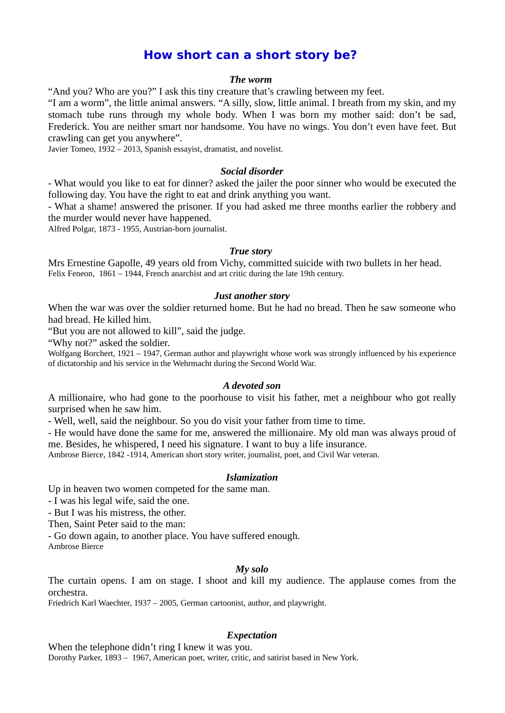# **How short can a short story be?**

#### *The worm*

"And you? Who are you?" I ask this tiny creature that's crawling between my feet.

"I am a worm", the little animal answers. "A silly, slow, little animal. I breath from my skin, and my stomach tube runs through my whole body. When I was born my mother said: don't be sad, Frederick. You are neither smart nor handsome. You have no wings. You don't even have feet. But crawling can get you anywhere".

Javier Tomeo, 1932 – 2013, Spanish essayist, dramatist, and novelist.

#### *Social disorder*

- What would you like to eat for dinner? asked the jailer the poor sinner who would be executed the following day. You have the right to eat and drink anything you want.

- What a shame! answered the prisoner. If you had asked me three months earlier the robbery and the murder would never have happened.

Alfred Polgar, 1873 - 1955, Austrian-born journalist.

#### *True story*

Mrs Ernestine Gapolle, 49 years old from Vichy, committed suicide with two bullets in her head. Felix Feneon, 1861 – 1944, French anarchist and art critic during the late 19th century.

#### *Just another story*

When the war was over the soldier returned home. But he had no bread. Then he saw someone who had bread. He killed him.

"But you are not allowed to kill", said the judge.

"Why not?" asked the soldier.

Wolfgang Borchert, 1921 – 1947, German author and playwright whose work was strongly influenced by his experience of dictatorship and his service in the Wehrmacht during the Second World War.

#### *A devoted son*

A millionaire, who had gone to the poorhouse to visit his father, met a neighbour who got really surprised when he saw him.

- Well, well, said the neighbour. So you do visit your father from time to time.

- He would have done the same for me, answered the millionaire. My old man was always proud of me. Besides, he whispered, I need his signature. I want to buy a life insurance.

Ambrose Bierce, 1842 -1914, American short story writer, journalist, poet, and Civil War veteran.

#### *Islamization*

Up in heaven two women competed for the same man.

- I was his legal wife, said the one.

- But I was his mistress, the other.

Then, Saint Peter said to the man:

- Go down again, to another place. You have suffered enough.

Ambrose Bierce

### *My solo*

The curtain opens. I am on stage. I shoot and kill my audience. The applause comes from the orchestra.

Friedrich Karl Waechter, 1937 – 2005, German cartoonist, author, and playwright.

#### *Expectation*

When the telephone didn't ring I knew it was you. Dorothy Parker, 1893 – 1967, American poet, writer, critic, and satirist based in New York.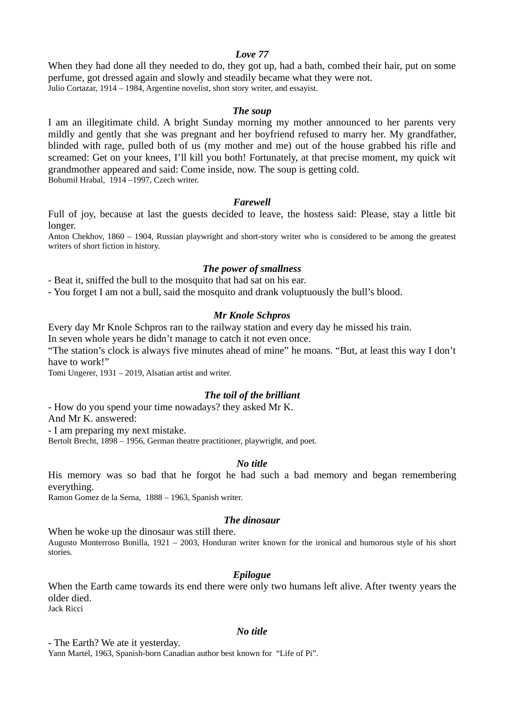### *Love 77*

When they had done all they needed to do, they got up, had a bath, combed their hair, put on some perfume, got dressed again and slowly and steadily became what they were not. Julio Cortazar, 1914 – 1984, Argentine novelist, short story writer, and essayist.

#### *The soup*

I am an illegitimate child. A bright Sunday morning my mother announced to her parents very mildly and gently that she was pregnant and her boyfriend refused to marry her. My grandfather, blinded with rage, pulled both of us (my mother and me) out of the house grabbed his rifle and screamed: Get on your knees, I'll kill you both! Fortunately, at that precise moment, my quick wit grandmother appeared and said: Come inside, now. The soup is getting cold. Bohumil Hrabal, 1914 –1997, Czech writer.

#### *Farewell*

Full of joy, because at last the guests decided to leave, the hostess said: Please, stay a little bit longer.

Anton Chekhov, 1860 – 1904, Russian playwright and short-story writer who is considered to be among the greatest writers of short fiction in history.

#### *The power of smallness*

- Beat it, sniffed the bull to the mosquito that had sat on his ear.

- You forget I am not a bull, said the mosquito and drank voluptuously the bull's blood.

#### *Mr Knole Schpros*

Every day Mr Knole Schpros ran to the railway station and every day he missed his train.

In seven whole years he didn't manage to catch it not even once.

"The station's clock is always five minutes ahead of mine" he moans. "But, at least this way I don't have to work!"

Tomi Ungerer, 1931 – 2019, Alsatian artist and writer.

#### *The toil of the brilliant*

- How do you spend your time nowadays? they asked Mr K. And Mr K. answered: - I am preparing my next mistake. Bertolt Brecht, 1898 – 1956, German theatre practitioner, playwright, and poet.

#### *No title*

His memory was so bad that he forgot he had such a bad memory and began remembering everything.

Ramon Gomez de la Serna, 1888 – 1963, Spanish writer.

#### *The dinosaur*

When he woke up the dinosaur was still there. Augusto Monterroso Bonilla, 1921 – 2003, Honduran writer known for the ironical and humorous style of his short stories.

#### *Epilogue*

When the Earth came towards its end there were only two humans left alive. After twenty years the older died.

Jack Ricci

#### *No title*

- The Earth? We ate it yesterday.

Yann Martel, 1963, Spanish-born Canadian author best known for "Life of Pi".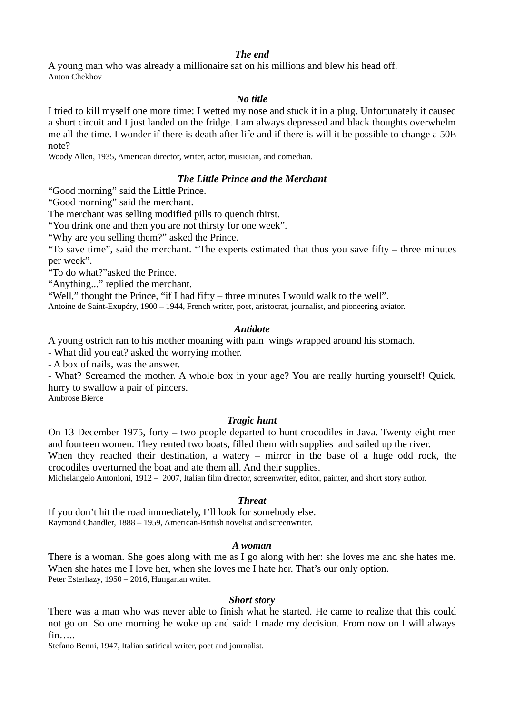#### *The end*

A young man who was already a millionaire sat on his millions and blew his head off. Anton Chekhov

### *No title*

I tried to kill myself one more time: I wetted my nose and stuck it in a plug. Unfortunately it caused a short circuit and I just landed on the fridge. I am always depressed and black thoughts overwhelm me all the time. I wonder if there is death after life and if there is will it be possible to change a 50E note?

Woody Allen, 1935, American director, writer, actor, musician, and comedian.

### *The Little Prince and the Merchant*

"Good morning" said the Little Prince.

"Good morning" said the merchant.

The merchant was selling modified pills to quench thirst.

"You drink one and then you are not thirsty for one week".

"Why are you selling them?" asked the Prince.

"To save time", said the merchant. "The experts estimated that thus you save fifty – three minutes per week".

"To do what?"asked the Prince.

"Anything..." replied the merchant.

"Well," thought the Prince, "if I had fifty – three minutes I would walk to the well".

Antoine de Saint-Exupéry, 1900 – 1944, French writer, poet, aristocrat, journalist, and pioneering aviator.

### *Antidote*

A young ostrich ran to his mother moaning with pain wings wrapped around his stomach.

- What did you eat? asked the worrying mother.

- A box of nails, was the answer.

- What? Screamed the mother. A whole box in your age? You are really hurting yourself! Quick, hurry to swallow a pair of pincers.

Ambrose Bierce

#### *Tragic hunt*

On 13 December 1975, forty – two people departed to hunt crocodiles in Java. Twenty eight men and fourteen women. They rented two boats, filled them with supplies and sailed up the river. When they reached their destination, a watery  $-$  mirror in the base of a huge odd rock, the crocodiles overturned the boat and ate them all. And their supplies.

Michelangelo Antonioni, 1912 – 2007, Italian film director, screenwriter, editor, painter, and short story author.

#### *Threat*

If you don't hit the road immediately, I'll look for somebody else. Raymond Chandler, 1888 – 1959, American-British novelist and screenwriter.

#### *A woman*

There is a woman. She goes along with me as I go along with her: she loves me and she hates me. When she hates me I love her, when she loves me I hate her. That's our only option. Peter Esterhazy, 1950 – 2016, Hungarian writer.

#### *Short story*

There was a man who was never able to finish what he started. He came to realize that this could not go on. So one morning he woke up and said: I made my decision. From now on I will always fin…..

Stefano Benni, 1947, Italian satirical writer, poet and journalist.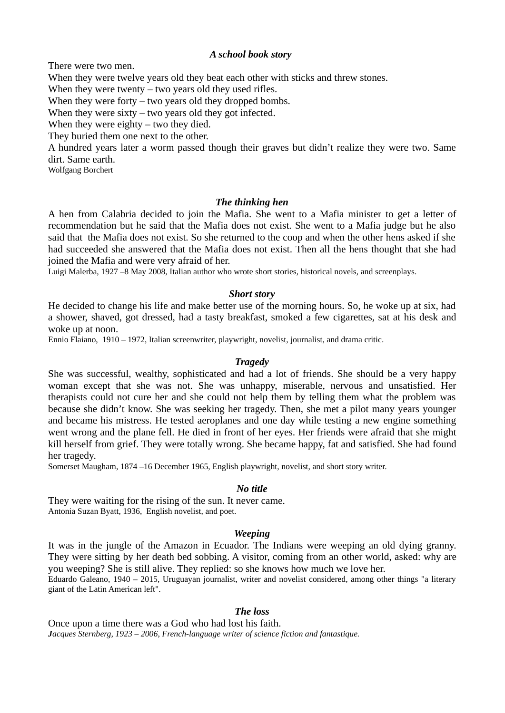#### *A school book story*

There were two men.

When they were twelve years old they beat each other with sticks and threw stones.

When they were twenty  $-$  two years old they used rifles.

When they were forty – two years old they dropped bombs.

When they were sixty – two years old they got infected.

When they were eighty – two they died.

They buried them one next to the other.

A hundred years later a worm passed though their graves but didn't realize they were two. Same dirt. Same earth.

Wolfgang Borchert

### *The thinking hen*

A hen from Calabria decided to join the Mafia. She went to a Mafia minister to get a letter of recommendation but he said that the Mafia does not exist. She went to a Mafia judge but he also said that the Mafia does not exist. So she returned to the coop and when the other hens asked if she had succeeded she answered that the Mafia does not exist. Then all the hens thought that she had joined the Mafia and were very afraid of her.

Luigi Malerba, 1927 –8 May 2008, Italian author who wrote short stories, historical novels, and screenplays.

### *Short story*

He decided to change his life and make better use of the morning hours. So, he woke up at six, had a shower, shaved, got dressed, had a tasty breakfast, smoked a few cigarettes, sat at his desk and woke up at noon.

Ennio Flaiano, 1910 – 1972, Italian screenwriter, playwright, novelist, journalist, and drama critic.

### *Tragedy*

She was successful, wealthy, sophisticated and had a lot of friends. She should be a very happy woman except that she was not. She was unhappy, miserable, nervous and unsatisfied. Her therapists could not cure her and she could not help them by telling them what the problem was because she didn't know. She was seeking her tragedy. Then, she met a pilot many years younger and became his mistress. He tested aeroplanes and one day while testing a new engine something went wrong and the plane fell. He died in front of her eyes. Her friends were afraid that she might kill herself from grief. They were totally wrong. She became happy, fat and satisfied. She had found her tragedy.

Somerset Maugham, 1874 –16 December 1965, English playwright, novelist, and short story writer.

#### *No title*

They were waiting for the rising of the sun. It never came. Antonia Suzan Byatt, 1936, English novelist, and poet.

#### *Weeping*

It was in the jungle of the Amazon in Ecuador. The Indians were weeping an old dying granny. They were sitting by her death bed sobbing. A visitor, coming from an other world, asked: why are you weeping? She is still alive. They replied: so she knows how much we love her.

Eduardo Galeano, 1940 – 2015, Uruguayan journalist, writer and novelist considered, among other things "a literary giant of the Latin American left".

#### *The loss*

Once upon a time there was a God who had lost his faith. *Jacques Sternberg, 1923 – 2006, French-language writer of science fiction and fantastique.*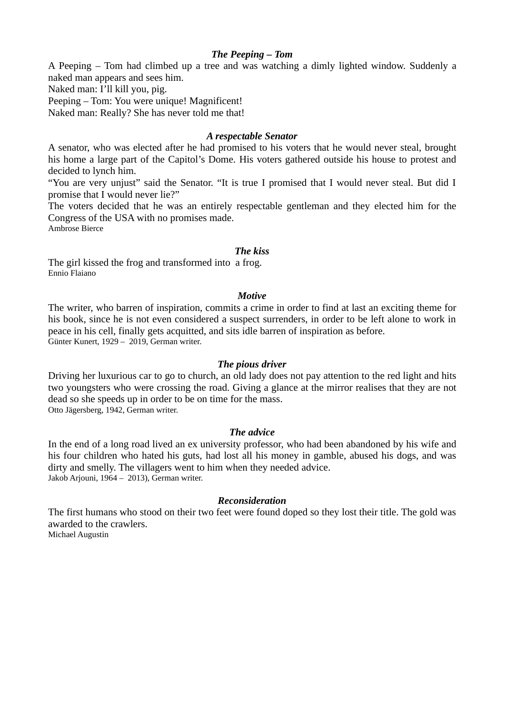### *The Peeping – Tom*

A Peeping – Tom had climbed up a tree and was watching a dimly lighted window. Suddenly a naked man appears and sees him.

Naked man: I'll kill you, pig.

Peeping – Tom: You were unique! Magnificent!

Naked man: Really? She has never told me that!

### *A respectable Senator*

A senator, who was elected after he had promised to his voters that he would never steal, brought his home a large part of the Capitol's Dome. His voters gathered outside his house to protest and decided to lynch him.

"You are very unjust" said the Senator. "It is true I promised that I would never steal. But did I promise that I would never lie?"

The voters decided that he was an entirely respectable gentleman and they elected him for the Congress of the USA with no promises made.

Ambrose Bierce

### *The kiss*

The girl kissed the frog and transformed into a frog. Ennio Flaiano

### *Motive*

The writer, who barren of inspiration, commits a crime in order to find at last an exciting theme for his book, since he is not even considered a suspect surrenders, in order to be left alone to work in peace in his cell, finally gets acquitted, and sits idle barren of inspiration as before. Günter Kunert, 1929 – 2019, German writer.

### *The pious driver*

Driving her luxurious car to go to church, an old lady does not pay attention to the red light and hits two youngsters who were crossing the road. Giving a glance at the mirror realises that they are not dead so she speeds up in order to be on time for the mass.

Otto Jägersberg, 1942, German writer.

### *The advice*

In the end of a long road lived an ex university professor, who had been abandoned by his wife and his four children who hated his guts, had lost all his money in gamble, abused his dogs, and was dirty and smelly. The villagers went to him when they needed advice. Jakob Arjouni, 1964 – 2013), German writer.

### *Reconsideration*

The first humans who stood on their two feet were found doped so they lost their title. The gold was awarded to the crawlers. Michael Augustin